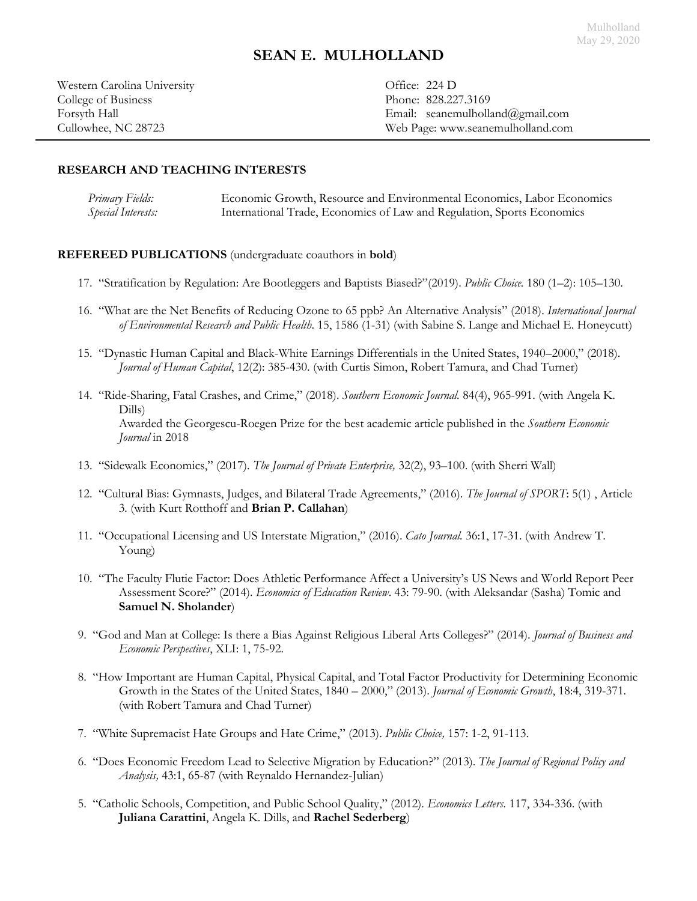Western Carolina University **Office: 224 D** College of Business Phone: 828.227.3169

Forsyth Hall Email: seanemulholland@gmail.com Cullowhee, NC 28723 Web Page: www.seanemulholland.com

# **RESEARCH AND TEACHING INTERESTS**

*Primary Fields:* Economic Growth, Resource and Environmental Economics, Labor Economics *Special Interests:* International Trade, Economics of Law and Regulation, Sports Economics

### **REFEREED PUBLICATIONS** (undergraduate coauthors in **bold**)

- 17. "Stratification by Regulation: Are Bootleggers and Baptists Biased?"(2019). *Public Choice.* 180 (1–2): 105–130.
- 16. ["What are the Net Benefits of Reducing Ozone to 65 ppb? An Alternative Analysis"](http://dx.doi.org/10.3390/ijerph15081586) (2018). *International Journal of Environmental Research and Public Health*. 15, 1586 (1-31) (with Sabine S. Lange and Michael E. Honeycutt)
- 15. "Dynastic Human Capital and Black-White Earnings Differentials in the United States, 1940–2000," (2018). *Journal of Human Capital*, 12(2): 385-430. (with Curtis Simon, Robert Tamura, and Chad Turner)
- 14. "[Ride-Sharing, Fatal Crashes, and Crime,](http://dx.doi.org/10.1002/soej.12255)" (2018). *Southern Economic Journal.* 84(4), 965-991. (with Angela K. Dills) Awarded the Georgescu-Roegen Prize for the best academic article published in the *Southern Economic Journal* in 2018
- 13. "Sidewalk Economics," (2017). *The Journal of Private Enterprise,* 32(2), 93–100. (with Sherri Wall)
- 12. "Cultural Bias: Gymnasts, Judges, and Bilateral Trade Agreements," (2016). *The Journal of SPORT*: 5(1) , Article 3*.* (with Kurt Rotthoff and **Brian P. Callahan**)
- 11. "Occupational Licensing and US Interstate Migration," (2016). *Cato Journal.* 36:1, 17-31. (with Andrew T. Young)
- 10. "The Faculty Flutie Factor: Does Athletic Performance Affect a University's US News and World Report Peer Assessment Score?" (2014). *Economics of Education Review*. 43: 79-90. (with Aleksandar (Sasha) Tomic and **Samuel N. Sholander**)
- 9. "God and Man at College: Is there a Bias Against Religious Liberal Arts Colleges?" (2014). *Journal of Business and Economic Perspectives*, XLI: 1, 75-92.
- 8. "How Important are Human Capital, Physical Capital, and Total Factor Productivity for Determining Economic Growth in the States of the United States, 1840 – 2000," (2013). *Journal of Economic Growth*, 18:4, 319-371*.* (with Robert Tamura and Chad Turner)
- 7. "White Supremacist Hate Groups and Hate Crime," (2013). *Public Choice,* 157: 1-2, 91-113.
- 6. "Does Economic Freedom Lead to Selective Migration by Education?" (2013). *The Journal of Regional Policy and Analysis,* 43:1, 65-87 (with Reynaldo Hernandez-Julian)
- 5. "Catholic Schools, Competition, and Public School Quality," (2012). *Economics Letters.* 117, 334-336. (with **Juliana Carattini**, Angela K. Dills, and **Rachel Sederberg**)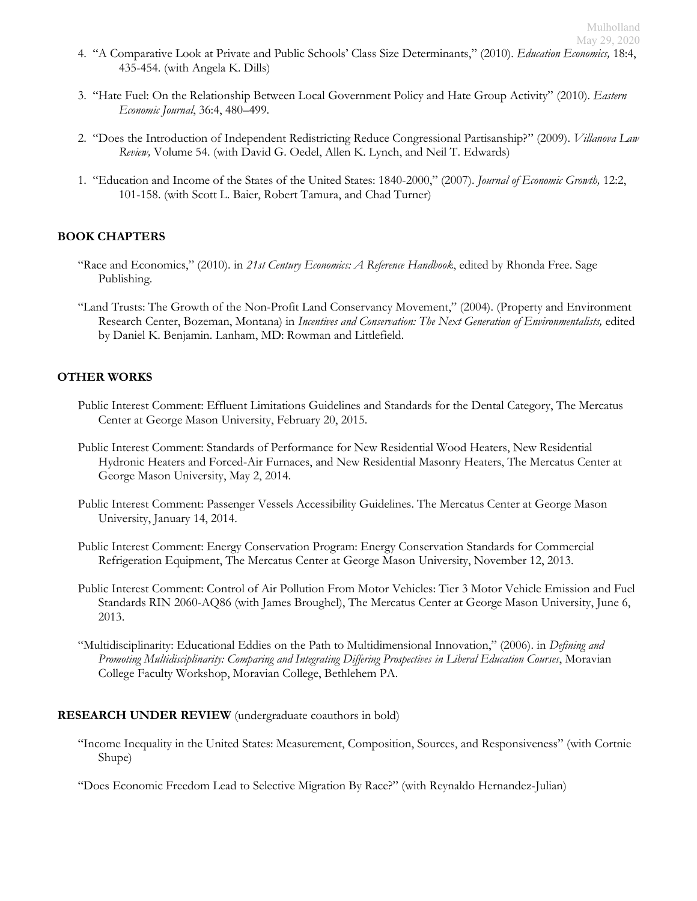- 4. "A Comparative Look at Private and Public Schools' Class Size Determinants," (2010). *Education Economics,* 18:4, 435-454. (with Angela K. Dills)
- 3. "Hate Fuel: On the Relationship Between Local Government Policy and Hate Group Activity" (2010). *Eastern Economic Journal*, 36:4, 480–499.
- 2. "Does the Introduction of Independent Redistricting Reduce Congressional Partisanship?" (2009). *Villanova Law Review,* Volume 54. (with David G. Oedel, Allen K. Lynch, and Neil T. Edwards)
- 1. "[Education and Income of the States of the United States: 1840-2000](http://www.springerlink.com/content/n151271x51753455/?p=eb108d62b0484b149ea3a76ce180e3f3&pi=1)," (2007). *Journal of Economic Growth,* 12:2, 101-158. (with Scott L. Baier, Robert Tamura, and Chad Turner)

# **BOOK CHAPTERS**

- "Race and Economics," (2010). in *21st Century Economics: A Reference Handbook*, edited by Rhonda Free. Sage Publishing.
- "Land Trusts: The Growth of the Non-Profit Land Conservancy Movement," (2004). (Property and Environment Research Center, Bozeman, Montana) in *Incentives and Conservation: The Next Generation of Environmentalists,* edited by Daniel K. Benjamin. Lanham, MD: Rowman and Littlefield.

### **OTHER WORKS**

- Public Interest Comment: Effluent Limitations Guidelines and Standards for the Dental Category, The Mercatus Center at George Mason University, February 20, 2015.
- Public Interest Comment: Standards of Performance for New Residential Wood Heaters, New Residential Hydronic Heaters and Forced-Air Furnaces, and New Residential Masonry Heaters, The Mercatus Center at George Mason University, May 2, 2014.
- Public Interest Comment: Passenger Vessels Accessibility Guidelines. The Mercatus Center at George Mason University, January 14, 2014.
- Public Interest Comment: Energy Conservation Program: Energy Conservation Standards for Commercial Refrigeration Equipment, The Mercatus Center at George Mason University, November 12, 2013.
- Public Interest Comment: Control of Air Pollution From Motor Vehicles: Tier 3 Motor Vehicle Emission and Fuel Standards RIN 2060-AQ86 (with James Broughel), The Mercatus Center at George Mason University, June 6, 2013.
- "Multidisciplinarity: Educational Eddies on the Path to Multidimensional Innovation," (2006). in *Defining and Promoting Multidisciplinarity: Comparing and Integrating Differing Prospectives in Liberal Education Courses*, Moravian College Faculty Workshop, Moravian College, Bethlehem PA.

#### **RESEARCH UNDER REVIEW** (undergraduate coauthors in bold)

- "Income Inequality in the United States: Measurement, Composition, Sources, and Responsiveness" (with Cortnie Shupe)
- "Does Economic Freedom Lead to Selective Migration By Race?" (with Reynaldo Hernandez-Julian)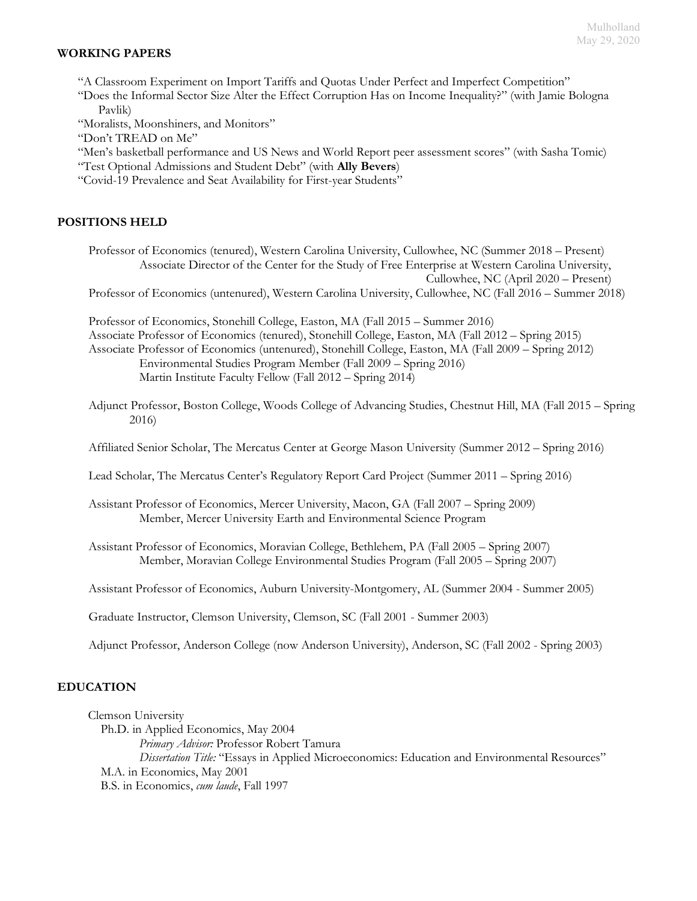### **WORKING PAPERS**

"A Classroom Experiment on Import Tariffs and Quotas Under Perfect and Imperfect Competition"

"Does the Informal Sector Size Alter the Effect Corruption Has on Income Inequality?" (with Jamie Bologna Pavlik)

"Moralists, Moonshiners, and Monitors"

"Don't TREAD on Me"

"Men's basketball performance and US News and World Report peer assessment scores" (with Sasha Tomic)

"Test Optional Admissions and Student Debt" (with **Ally Bevers**)

"Covid-19 Prevalence and Seat Availability for First-year Students"

# **POSITIONS HELD**

Professor of Economics (tenured), Western Carolina University, Cullowhee, NC (Summer 2018 – Present) Associate Director of the Center for the Study of Free Enterprise at Western Carolina University, Cullowhee, NC (April 2020 – Present)

Professor of Economics (untenured), Western Carolina University, Cullowhee, NC (Fall 2016 – Summer 2018)

Professor of Economics, Stonehill College, Easton, MA (Fall 2015 – Summer 2016) Associate Professor of Economics (tenured), Stonehill College, Easton, MA (Fall 2012 – Spring 2015) Associate Professor of Economics (untenured), Stonehill College, Easton, MA (Fall 2009 – Spring 2012) Environmental Studies Program Member (Fall 2009 – Spring 2016) Martin Institute Faculty Fellow (Fall 2012 – Spring 2014)

Adjunct Professor, Boston College, Woods College of Advancing Studies, Chestnut Hill, MA (Fall 2015 – Spring 2016)

Affiliated Senior Scholar, The Mercatus Center at George Mason University (Summer 2012 – Spring 2016)

Lead Scholar, The Mercatus Center's Regulatory Report Card Project (Summer 2011 – Spring 2016)

Assistant Professor of Economics, Mercer University, Macon, GA (Fall 2007 – Spring 2009) Member, Mercer University Earth and Environmental Science Program

Assistant Professor of Economics, Moravian College, Bethlehem, PA (Fall 2005 – Spring 2007) Member, Moravian College Environmental Studies Program (Fall 2005 – Spring 2007)

Assistant Professor of Economics, Auburn University-Montgomery, AL (Summer 2004 - Summer 2005)

Graduate Instructor, Clemson University, Clemson, SC (Fall 2001 - Summer 2003)

Adjunct Professor, Anderson College (now Anderson University), Anderson, SC (Fall 2002 - Spring 2003)

# **EDUCATION**

Clemson University Ph.D. in Applied Economics, May 2004 *Primary Advisor:* Professor Robert Tamura *Dissertation Title:* "Essays in Applied Microeconomics: Education and Environmental Resources" M.A. in Economics, May 2001 B.S. in Economics, *cum laude*, Fall 1997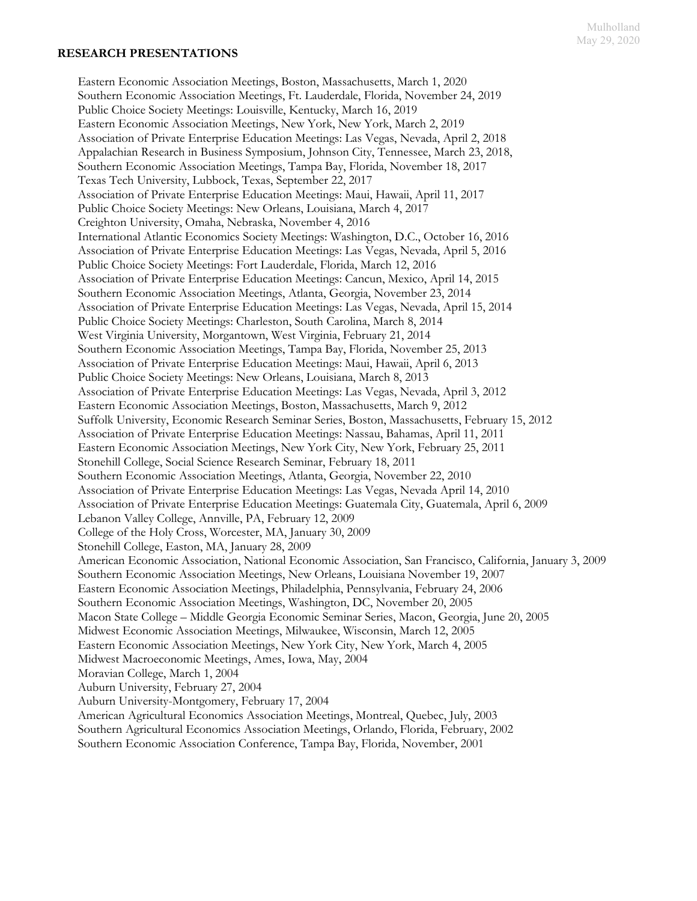#### Mulholland May 29, 2020

#### **RESEARCH PRESENTATIONS**

Eastern Economic Association Meetings, Boston, Massachusetts, March 1, 2020 Southern Economic Association Meetings, Ft. Lauderdale, Florida, November 24, 2019 Public Choice Society Meetings: Louisville, Kentucky, March 16, 2019 Eastern Economic Association Meetings, New York, New York, March 2, 2019 Association of Private Enterprise Education Meetings: Las Vegas, Nevada, April 2, 2018 Appalachian Research in Business Symposium, Johnson City, Tennessee, March 23, 2018, Southern Economic Association Meetings, Tampa Bay, Florida, November 18, 2017 Texas Tech University, Lubbock, Texas, September 22, 2017 Association of Private Enterprise Education Meetings: Maui, Hawaii, April 11, 2017 Public Choice Society Meetings: New Orleans, Louisiana, March 4, 2017 Creighton University, Omaha, Nebraska, November 4, 2016 International Atlantic Economics Society Meetings: Washington, D.C., October 16, 2016 Association of Private Enterprise Education Meetings: Las Vegas, Nevada, April 5, 2016 Public Choice Society Meetings: Fort Lauderdale, Florida, March 12, 2016 Association of Private Enterprise Education Meetings: Cancun, Mexico, April 14, 2015 Southern Economic Association Meetings, Atlanta, Georgia, November 23, 2014 Association of Private Enterprise Education Meetings: Las Vegas, Nevada, April 15, 2014 Public Choice Society Meetings: Charleston, South Carolina, March 8, 2014 West Virginia University, Morgantown, West Virginia, February 21, 2014 Southern Economic Association Meetings, Tampa Bay, Florida, November 25, 2013 Association of Private Enterprise Education Meetings: Maui, Hawaii, April 6, 2013 Public Choice Society Meetings: New Orleans, Louisiana, March 8, 2013 Association of Private Enterprise Education Meetings: Las Vegas, Nevada, April 3, 2012 Eastern Economic Association Meetings, Boston, Massachusetts, March 9, 2012 Suffolk University, Economic Research Seminar Series, Boston, Massachusetts, February 15, 2012 Association of Private Enterprise Education Meetings: Nassau, Bahamas, April 11, 2011 Eastern Economic Association Meetings, New York City, New York, February 25, 2011 Stonehill College, Social Science Research Seminar, February 18, 2011 Southern Economic Association Meetings, Atlanta, Georgia, November 22, 2010 Association of Private Enterprise Education Meetings: Las Vegas, Nevada April 14, 2010 Association of Private Enterprise Education Meetings: Guatemala City, Guatemala, April 6, 2009 Lebanon Valley College, Annville, PA, February 12, 2009 College of the Holy Cross, Worcester, MA, January 30, 2009 Stonehill College, Easton, MA, January 28, 2009 American Economic Association, National Economic Association, San Francisco, California, January 3, 2009 Southern Economic Association Meetings, New Orleans, Louisiana November 19, 2007 Eastern Economic Association Meetings, Philadelphia, Pennsylvania, February 24, 2006 Southern Economic Association Meetings, Washington, DC, November 20, 2005 Macon State College – Middle Georgia Economic Seminar Series, Macon, Georgia, June 20, 2005 Midwest Economic Association Meetings, Milwaukee, Wisconsin, March 12, 2005 Eastern Economic Association Meetings, New York City, New York, March 4, 2005 Midwest Macroeconomic Meetings, Ames, Iowa, May, 2004 Moravian College, March 1, 2004 Auburn University, February 27, 2004 Auburn University-Montgomery, February 17, 2004 American Agricultural Economics Association Meetings, Montreal, Quebec, July, 2003 Southern Agricultural Economics Association Meetings, Orlando, Florida, February, 2002

Southern Economic Association Conference, Tampa Bay, Florida, November, 2001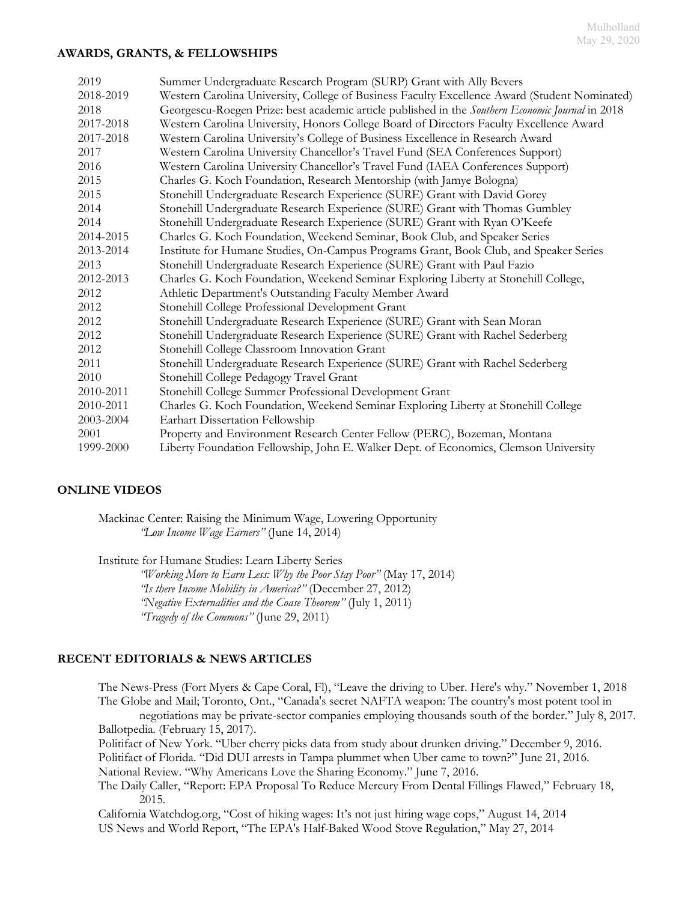### **AWARDS, GRANTS, & FELLOWSHIPS**

| 2019      | Summer Undergraduate Research Program (SURP) Grant with Ally Bevers                              |
|-----------|--------------------------------------------------------------------------------------------------|
| 2018-2019 | Western Carolina University, College of Business Faculty Excellence Award (Student Nominated)    |
| 2018      | Georgescu-Roegen Prize: best academic article published in the Southern Economic Journal in 2018 |
| 2017-2018 | Western Carolina University, Honors College Board of Directors Faculty Excellence Award          |
| 2017-2018 | Western Carolina University's College of Business Excellence in Research Award                   |
| 2017      | Western Carolina University Chancellor's Travel Fund (SEA Conferences Support)                   |
| 2016      | Western Carolina University Chancellor's Travel Fund (IAEA Conferences Support)                  |
| 2015      | Charles G. Koch Foundation, Research Mentorship (with Jamye Bologna)                             |
| 2015      | Stonehill Undergraduate Research Experience (SURE) Grant with David Gorey                        |
| 2014      | Stonehill Undergraduate Research Experience (SURE) Grant with Thomas Gumbley                     |
| 2014      | Stonehill Undergraduate Research Experience (SURE) Grant with Ryan O'Keefe                       |
| 2014-2015 | Charles G. Koch Foundation, Weekend Seminar, Book Club, and Speaker Series                       |
| 2013-2014 | Institute for Humane Studies, On-Campus Programs Grant, Book Club, and Speaker Series            |
| 2013      | Stonehill Undergraduate Research Experience (SURE) Grant with Paul Fazio                         |
| 2012-2013 | Charles G. Koch Foundation, Weekend Seminar Exploring Liberty at Stonehill College,              |
| 2012      | Athletic Department's Outstanding Faculty Member Award                                           |
| 2012      | Stonehill College Professional Development Grant                                                 |
| 2012      | Stonehill Undergraduate Research Experience (SURE) Grant with Sean Moran                         |
| 2012      | Stonehill Undergraduate Research Experience (SURE) Grant with Rachel Sederberg                   |
| 2012      | Stonehill College Classroom Innovation Grant                                                     |
| 2011      | Stonehill Undergraduate Research Experience (SURE) Grant with Rachel Sederberg                   |
| 2010      | Stonehill College Pedagogy Travel Grant                                                          |
| 2010-2011 | Stonehill College Summer Professional Development Grant                                          |
| 2010-2011 | Charles G. Koch Foundation, Weekend Seminar Exploring Liberty at Stonehill College               |
| 2003-2004 | Earhart Dissertation Fellowship                                                                  |
| 2001      | Property and Environment Research Center Fellow (PERC), Bozeman, Montana                         |
| 1999-2000 | Liberty Foundation Fellowship, John E. Walker Dept. of Economics, Clemson University             |

# **ONLINE VIDEOS**

Mackinac Center: Raising the Minimum Wage, Lowering Opportunity *"[Low Income Wage Earners](http://youtu.be/OfxAHM2Fq6Q)"* (June 14, 2014)

Institute for Humane Studies: Learn Liberty Series

*"[Working More to Earn Less: Why the Poor Stay Poor](http://youtu.be/NH-3HlrnHQs)"* (May 17, 2014) *"[Is there Income Mobility in America?](http://youtu.be/UbueX92CKPk)"* (December 27, 2012) *"[Negative Externalities and the Coase Theorem](http://youtu.be/zcPRmh5AIrI)"* (July 1, 2011) *"[Tragedy of the Commons](http://youtu.be/MLirNeu-A8I)"* (June 29, 2011)

# **RECENT EDITORIALS & NEWS ARTICLES**

The News-Press (Fort Myers & Cape Coral, Fl), "[Leave the driving to Uber. Here's why](https://www.news-press.com/story/opinion/contributors/2018/11/01/leave-driving-uber-heres-why/1846868002/?fbclid=IwAR1PtlfTCoxwwRZF2IJM4OKH0T_rzFPeBLjkmEPp7Nwvz10Z86WCXufSZ_A)." November 1, 2018 The Globe and Mail; Toronto, Ont., "Canada's secret NAFTA weapon: The country's most potent tool in negotiations may be private-sector companies employing thousands south of the border." July 8, 2017. Ballotpedia. (February 15, 2017). Politifact of New York. "[Uber cherry picks data from study about drunken driving](http://www.politifact.com/new-york/statements/2016/dec/09/uber/uber-cherry-picks-data-study-about-drunken-driving/)." December 9, 2016. Politifact of Florida. "[Did DUI arrests in Tampa plummet when Uber came to town?](http://www.politifact.com/florida/statements/2016/jun/29/dana-young/do-dui-arrests-plummet-when-uber-comes-town/)" June 21, 2016. National Review. "[Why Americans Love the Sharing Economy](http://www.nationalreview.com/article/436263/uber-lyft-ride-sharing-services-sharing-economy-are-future)." June 7, 2016. The Daily Caller, "[Report: EPA Proposal To Reduce Mercury From Dental Fillings Flawed](http://dailycaller.com/2015/02/18/report-epa-proposal-to-reduce-mercury-from-dental-fillings-flawed/)," February 18, 2015. California Watchdog.org, "Cost of hiking wages: It's not just hiring wage cops," August 14, 2014

US News and World Report, "[The EPA's Half-Baked Wood Stove Regulation](http://www.usnews.com/opinion/economic-intelligence/2014/05/27/the-epas-half-baked-wood-stove-regulation)," May 27, 2014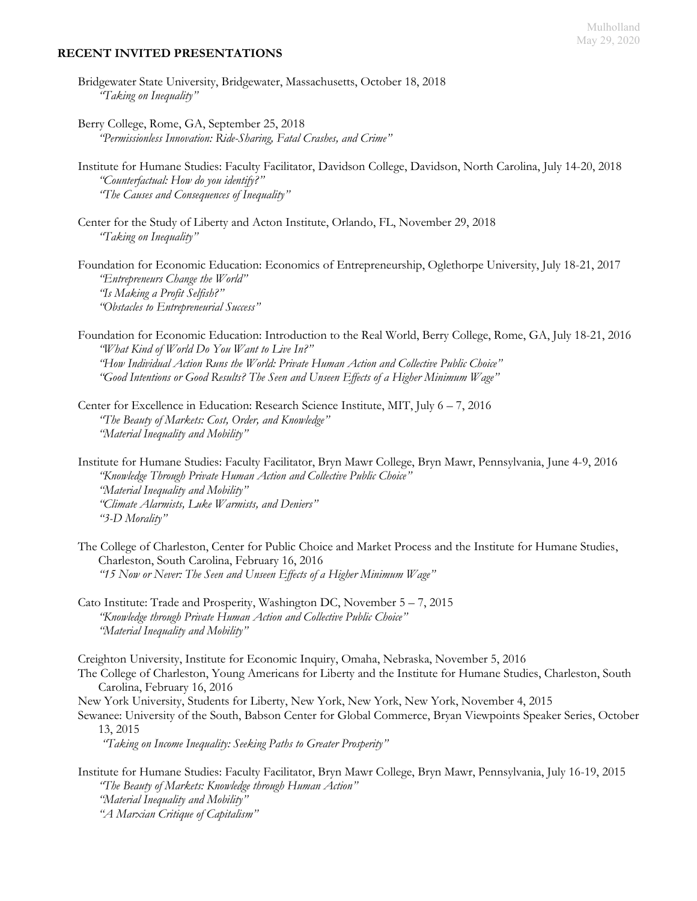#### **RECENT INVITED PRESENTATIONS**

- Bridgewater State University, Bridgewater, Massachusetts, October 18, 2018 *"Taking on Inequality"*
- Berry College, Rome, GA, September 25, 2018 *"Permissionless Innovation: Ride-Sharing, Fatal Crashes, and Crime"*
- Institute for Humane Studies: Faculty Facilitator, Davidson College, Davidson, North Carolina, July 14-20, 2018 *"Counterfactual: How do you identify?" "The Causes and Consequences of Inequality"*
- Center for the Study of Liberty and Acton Institute, Orlando, FL, November 29, 2018 *"Taking on Inequality"*
- Foundation for Economic Education: Economics of Entrepreneurship, Oglethorpe University, July 18-21, 2017 *"Entrepreneurs Change the World" "Is Making a Profit Selfish?" "Obstacles to Entrepreneurial Success"*
- Foundation for Economic Education: Introduction to the Real World, Berry College, Rome, GA, July 18-21, 2016 *"What Kind of World Do You Want to Live In?" "How Individual Action Runs the World: Private Human Action and Collective Public Choice" "Good Intentions or Good Results? The Seen and Unseen Effects of a Higher Minimum Wage"*
- Center for Excellence in Education: Research Science Institute, MIT, July 6 7, 2016 *"The Beauty of Markets: Cost, Order, and Knowledge" "Material Inequality and Mobility"*
- Institute for Humane Studies: Faculty Facilitator, Bryn Mawr College, Bryn Mawr, Pennsylvania, June 4-9, 2016 *"Knowledge Through Private Human Action and Collective Public Choice" "Material Inequality and Mobility" "Climate Alarmists, Luke Warmists, and Deniers" "3-D Morality"*
- The College of Charleston, Center for Public Choice and Market Process and the Institute for Humane Studies, Charleston, South Carolina, February 16, 2016 *"15 Now or Never: The Seen and Unseen Effects of a Higher Minimum Wage"*
- Cato Institute: Trade and Prosperity, Washington DC, November 5 7, 2015 *"Knowledge through Private Human Action and Collective Public Choice" "Material Inequality and Mobility"*

Creighton University, Institute for Economic Inquiry, Omaha, Nebraska, November 5, 2016

- The College of Charleston, Young Americans for Liberty and the Institute for Humane Studies, Charleston, South Carolina, February 16, 2016
- New York University, Students for Liberty, New York, New York, New York, November 4, 2015
- Sewanee: University of the South, Babson Center for Global Commerce, Bryan Viewpoints Speaker Series, October 13, 2015

*"Taking on Income Inequality: Seeking Paths to Greater Prosperity"*

Institute for Humane Studies: Faculty Facilitator, Bryn Mawr College, Bryn Mawr, Pennsylvania, July 16-19, 2015 *"The Beauty of Markets: Knowledge through Human Action" "Material Inequality and Mobility" "A Marxian Critique of Capitalism"*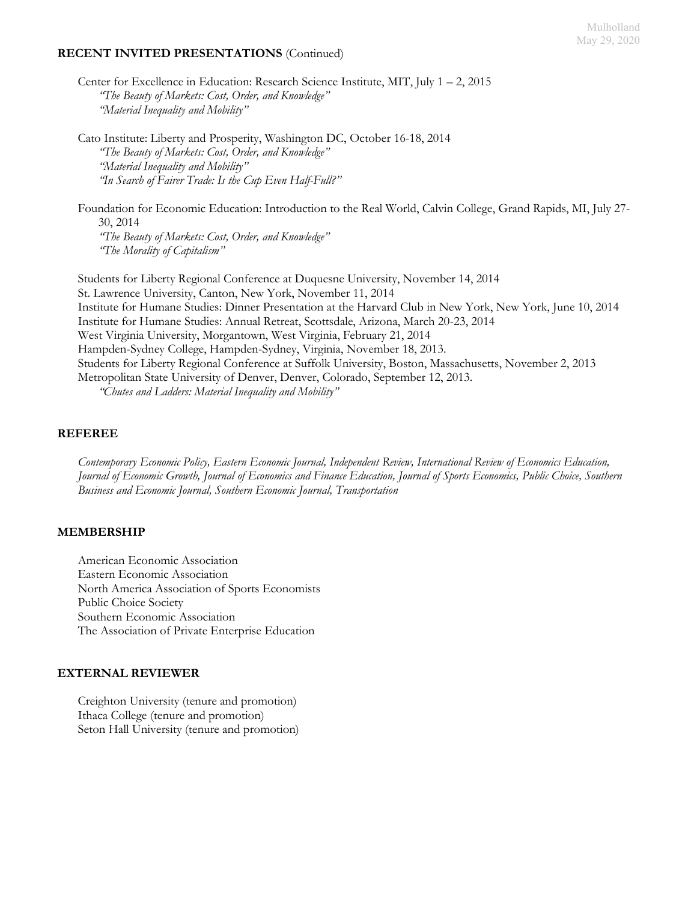#### Mulholland May 29, 2020

### **RECENT INVITED PRESENTATIONS** (Continued)

Center for Excellence in Education: Research Science Institute, MIT, July 1 – 2, 2015 *"The Beauty of Markets: Cost, Order, and Knowledge" "Material Inequality and Mobility"*

Cato Institute: Liberty and Prosperity, Washington DC, October 16-18, 2014 *"The Beauty of Markets: Cost, Order, and Knowledge" "Material Inequality and Mobility" "In Search of Fairer Trade: Is the Cup Even Half-Full?"*

Foundation for Economic Education: Introduction to the Real World, Calvin College, Grand Rapids, MI, July 27- 30, 2014

*"The Beauty of Markets: Cost, Order, and Knowledge" "The Morality of Capitalism"*

Students for Liberty Regional Conference at Duquesne University, November 14, 2014 St. Lawrence University, Canton, New York, November 11, 2014 Institute for Humane Studies: Dinner Presentation at the Harvard Club in New York, New York, June 10, 2014 Institute for Humane Studies: Annual Retreat, Scottsdale, Arizona, March 20-23, 2014 West Virginia University, Morgantown, West Virginia, February 21, 2014 Hampden-Sydney College, Hampden-Sydney, Virginia, November 18, 2013. Students for Liberty Regional Conference at Suffolk University, Boston, Massachusetts, November 2, 2013 Metropolitan State University of Denver, Denver, Colorado, September 12, 2013. *"Chutes and Ladders: Material Inequality and Mobility"*

**REFEREE**

*Contemporary Economic Policy, Eastern Economic Journal, Independent Review, International Review of Economics Education, Journal of Economic Growth, Journal of Economics and Finance Education, Journal of Sports Economics, Public Choice, Southern Business and Economic Journal, Southern Economic Journal, Transportation*

#### **MEMBERSHIP**

American Economic Association Eastern Economic Association North America Association of Sports Economists Public Choice Society Southern Economic Association The Association of Private Enterprise Education

#### **EXTERNAL REVIEWER**

Creighton University (tenure and promotion) Ithaca College (tenure and promotion) Seton Hall University (tenure and promotion)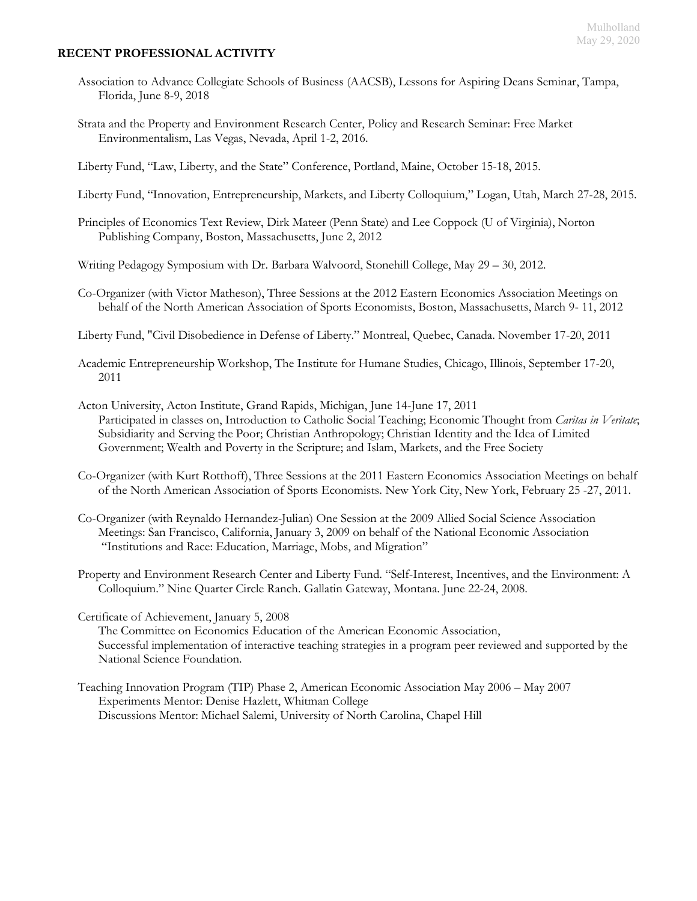# **RECENT PROFESSIONAL ACTIVITY**

- Association to Advance Collegiate Schools of Business (AACSB), Lessons for Aspiring Deans Seminar, Tampa, Florida, June 8-9, 2018
- Strata and the Property and Environment Research Center, Policy and Research Seminar: Free Market Environmentalism, Las Vegas, Nevada, April 1-2, 2016.
- Liberty Fund, "Law, Liberty, and the State" Conference, Portland, Maine, October 15-18, 2015.
- Liberty Fund, "Innovation, Entrepreneurship, Markets, and Liberty Colloquium," Logan, Utah, March 27-28, 2015.
- Principles of Economics Text Review, Dirk Mateer (Penn State) and Lee Coppock (U of Virginia), Norton Publishing Company, Boston, Massachusetts, June 2, 2012
- Writing Pedagogy Symposium with Dr. Barbara Walvoord, Stonehill College, May 29 30, 2012.
- Co-Organizer (with Victor Matheson), Three Sessions at the 2012 Eastern Economics Association Meetings on behalf of the North American Association of Sports Economists, Boston, Massachusetts, March 9- 11, 2012
- Liberty Fund, "Civil Disobedience in Defense of Liberty." Montreal, Quebec, Canada. November 17-20, 2011
- Academic Entrepreneurship Workshop, The Institute for Humane Studies, Chicago, Illinois, September 17-20, 2011
- Acton University, Acton Institute, Grand Rapids, Michigan, June 14-June 17, 2011 Participated in classes on, Introduction to Catholic Social Teaching; Economic Thought from *Caritas in Veritate*; Subsidiarity and Serving the Poor; Christian Anthropology; Christian Identity and the Idea of Limited Government; Wealth and Poverty in the Scripture; and Islam, Markets, and the Free Society
- Co-Organizer (with Kurt Rotthoff), Three Sessions at the 2011 Eastern Economics Association Meetings on behalf of the North American Association of Sports Economists. New York City, New York, February 25 -27, 2011.
- Co-Organizer (with Reynaldo Hernandez-Julian) One Session at the 2009 Allied Social Science Association Meetings: San Francisco, California, January 3, 2009 on behalf of the National Economic Association "Institutions and Race: Education, Marriage, Mobs, and Migration"
- Property and Environment Research Center and Liberty Fund. "Self-Interest, Incentives, and the Environment: A Colloquium." Nine Quarter Circle Ranch. Gallatin Gateway, Montana. June 22-24, 2008.
- Certificate of Achievement, January 5, 2008

The Committee on Economics Education of the American Economic Association, Successful implementation of interactive teaching strategies in a program peer reviewed and supported by the National Science Foundation.

Teaching Innovation Program (TIP) Phase 2, American Economic Association May 2006 – May 2007 Experiments Mentor: Denise Hazlett, Whitman College Discussions Mentor: Michael Salemi, University of North Carolina, Chapel Hill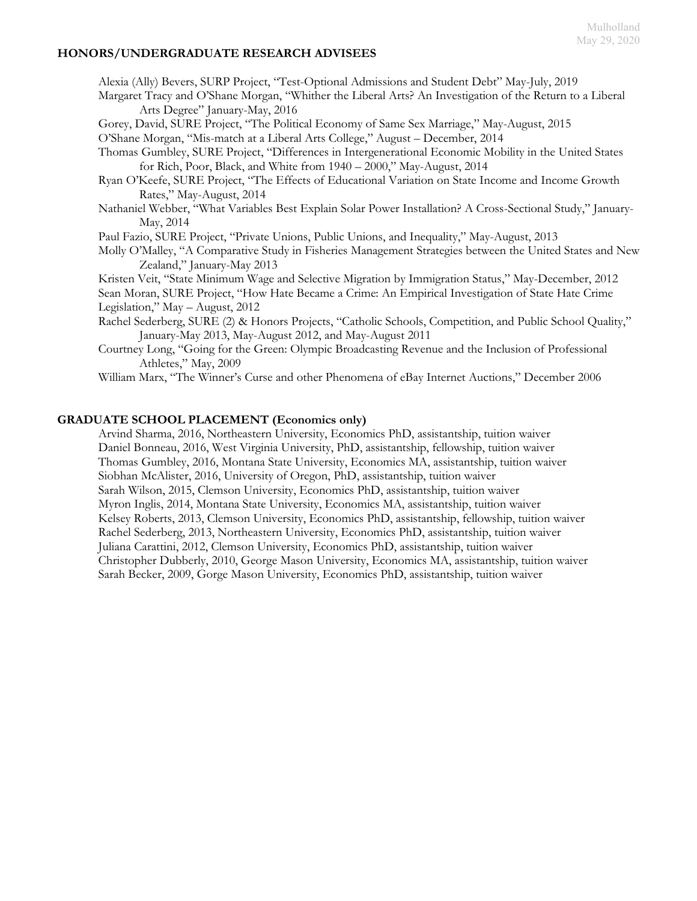### **HONORS/UNDERGRADUATE RESEARCH ADVISEES**

Alexia (Ally) Bevers, SURP Project, "Test-Optional Admissions and Student Debt" May-July, 2019

Margaret Tracy and O'Shane Morgan, "Whither the Liberal Arts? An Investigation of the Return to a Liberal Arts Degree" January-May, 2016

Gorey, David, SURE Project, "The Political Economy of Same Sex Marriage," May-August, 2015

O'Shane Morgan, "Mis-match at a Liberal Arts College," August – December, 2014

Thomas Gumbley, SURE Project, "Differences in Intergenerational Economic Mobility in the United States for Rich, Poor, Black, and White from 1940 – 2000," May-August, 2014

- Ryan O'Keefe, SURE Project, "The Effects of Educational Variation on State Income and Income Growth Rates," May-August, 2014
- Nathaniel Webber, "What Variables Best Explain Solar Power Installation? A Cross-Sectional Study," January-May, 2014

Paul Fazio, SURE Project, "Private Unions, Public Unions, and Inequality," May-August, 2013

Molly O'Malley, "A Comparative Study in Fisheries Management Strategies between the United States and New Zealand," January-May 2013

Kristen Veit, "State Minimum Wage and Selective Migration by Immigration Status," May-December, 2012

Sean Moran, SURE Project, "How Hate Became a Crime: An Empirical Investigation of State Hate Crime Legislation," May – August, 2012

- Rachel Sederberg, SURE (2) & Honors Projects, "Catholic Schools, Competition, and Public School Quality," January-May 2013, May-August 2012, and May-August 2011
- Courtney Long, "Going for the Green: Olympic Broadcasting Revenue and the Inclusion of Professional Athletes," May, 2009

William Marx, "The Winner's Curse and other Phenomena of eBay Internet Auctions," December 2006

# **GRADUATE SCHOOL PLACEMENT (Economics only)**

Arvind Sharma, 2016, Northeastern University, Economics PhD, assistantship, tuition waiver Daniel Bonneau, 2016, West Virginia University, PhD, assistantship, fellowship, tuition waiver Thomas Gumbley, 2016, Montana State University, Economics MA, assistantship, tuition waiver Siobhan McAlister, 2016, University of Oregon, PhD, assistantship, tuition waiver Sarah Wilson, 2015, Clemson University, Economics PhD, assistantship, tuition waiver Myron Inglis, 2014, Montana State University, Economics MA, assistantship, tuition waiver Kelsey Roberts, 2013, Clemson University, Economics PhD, assistantship, fellowship, tuition waiver Rachel Sederberg, 2013, Northeastern University, Economics PhD, assistantship, tuition waiver Juliana Carattini, 2012, Clemson University, Economics PhD, assistantship, tuition waiver Christopher Dubberly, 2010, George Mason University, Economics MA, assistantship, tuition waiver Sarah Becker, 2009, Gorge Mason University, Economics PhD, assistantship, tuition waiver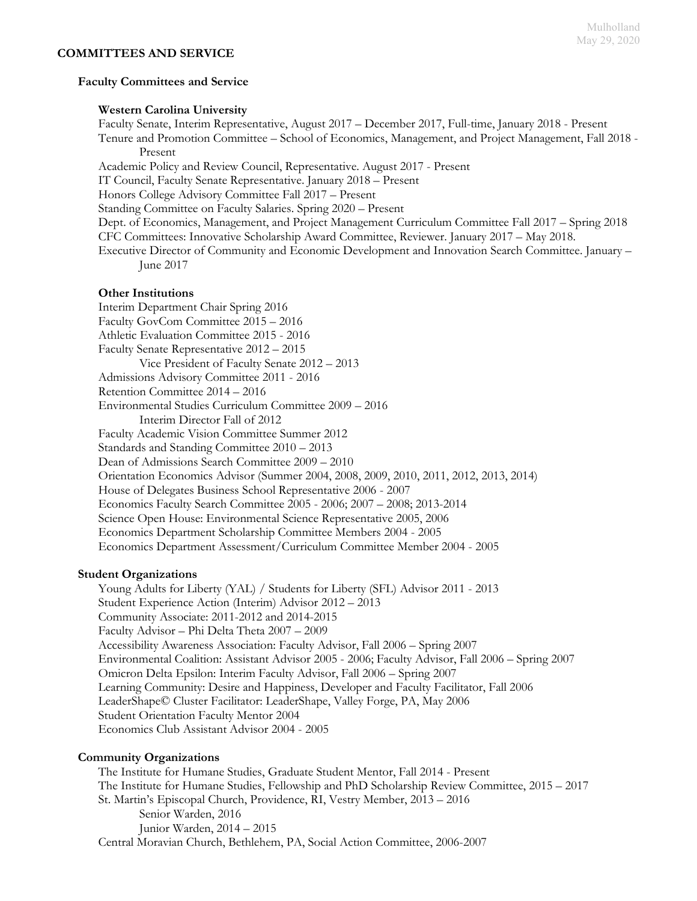### **Faculty Committees and Service**

#### **Western Carolina University**

Faculty Senate, Interim Representative, August 2017 – December 2017, Full-time, January 2018 - Present

Tenure and Promotion Committee – School of Economics, Management, and Project Management, Fall 2018 - Present

Academic Policy and Review Council, Representative. August 2017 - Present

IT Council, Faculty Senate Representative. January 2018 – Present

Honors College Advisory Committee Fall 2017 – Present

Standing Committee on Faculty Salaries. Spring 2020 – Present

Dept. of Economics, Management, and Project Management Curriculum Committee Fall 2017 – Spring 2018

CFC Committees: Innovative Scholarship Award Committee, Reviewer. January 2017 – May 2018.

Executive Director of Community and Economic Development and Innovation Search Committee. January – June 2017

### **Other Institutions**

Interim Department Chair Spring 2016 Faculty GovCom Committee 2015 – 2016 Athletic Evaluation Committee 2015 - 2016 Faculty Senate Representative 2012 – 2015 Vice President of Faculty Senate 2012 – 2013 Admissions Advisory Committee 2011 - 2016 Retention Committee 2014 – 2016 Environmental Studies Curriculum Committee 2009 – 2016 Interim Director Fall of 2012 Faculty Academic Vision Committee Summer 2012 Standards and Standing Committee 2010 – 2013 Dean of Admissions Search Committee 2009 – 2010 Orientation Economics Advisor (Summer 2004, 2008, 2009, 2010, 2011, 2012, 2013, 2014) House of Delegates Business School Representative 2006 - 2007 Economics Faculty Search Committee 2005 - 2006; 2007 – 2008; 2013-2014 Science Open House: Environmental Science Representative 2005, 2006 Economics Department Scholarship Committee Members 2004 - 2005 Economics Department Assessment/Curriculum Committee Member 2004 - 2005

#### **Student Organizations**

Young Adults for Liberty (YAL) / Students for Liberty (SFL) Advisor 2011 - 2013 Student Experience Action (Interim) Advisor 2012 – 2013 Community Associate: 2011-2012 and 2014-2015 Faculty Advisor – Phi Delta Theta 2007 – 2009 Accessibility Awareness Association: Faculty Advisor, Fall 2006 – Spring 2007 Environmental Coalition: Assistant Advisor 2005 - 2006; Faculty Advisor, Fall 2006 – Spring 2007 Omicron Delta Epsilon: Interim Faculty Advisor, Fall 2006 – Spring 2007 Learning Community: Desire and Happiness, Developer and Faculty Facilitator, Fall 2006 LeaderShape© Cluster Facilitator: LeaderShape, Valley Forge, PA, May 2006 Student Orientation Faculty Mentor 2004 Economics Club Assistant Advisor 2004 - 2005

# **Community Organizations**

The Institute for Humane Studies, Graduate Student Mentor, Fall 2014 - Present The Institute for Humane Studies, Fellowship and PhD Scholarship Review Committee, 2015 – 2017 St. Martin's Episcopal Church, Providence, RI, Vestry Member, 2013 – 2016 Senior Warden, 2016 Junior Warden, 2014 – 2015 Central Moravian Church, Bethlehem, PA, Social Action Committee, 2006-2007